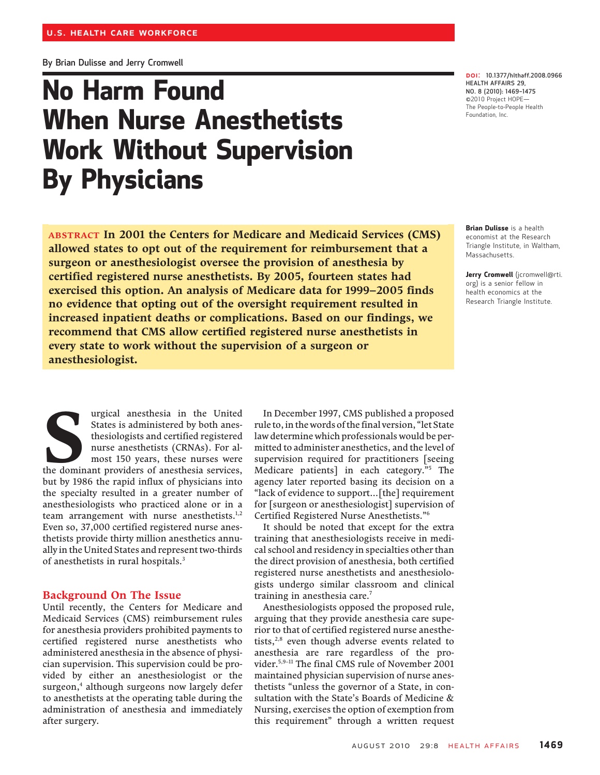By Brian Dulisse and Jerry Cromwell

# No Harm Found When Nurse Anesthetists Work Without Supervision By Physicians

DOI: 10.1377/hlthaff.2008.0966 HEALTH AFFAIRS 29, NO. 8 (2010): 1469–1475 ©2010 Project HOPE— The People-to-People Health Foundation, Inc.

ABSTRACT In 2001 the Centers for Medicare and Medicaid Services (CMS) allowed states to opt out of the requirement for reimbursement that a surgeon or anesthesiologist oversee the provision of anesthesia by certified registered nurse anesthetists. By 2005, fourteen states had exercised this option. An analysis of Medicare data for 1999–2005 finds no evidence that opting out of the oversight requirement resulted in increased inpatient deaths or complications. Based on our findings, we recommend that CMS allow certified registered nurse anesthetists in every state to work without the supervision of a surgeon or anesthesiologist.

**Brian Dulisse** is a health economist at the Research Triangle Institute, in Waltham, Massachusetts.

Jerry Cromwell (jcromwell@rti. org) is a senior fellow in health economics at the Research Triangle Institute.

Turgical anesthesia in the United<br>
States is administered by both anesthesiologists and certified registered<br>
nurse anesthetists (CRNAs). For almost 150 years, these nurses were<br>
the dominant providers of anesthesia servic States is administered by both anesthesiologists and certified registered nurse anesthetists (CRNAs). For almost 150 years, these nurses were but by 1986 the rapid influx of physicians into the specialty resulted in a greater number of anesthesiologists who practiced alone or in a team arrangement with nurse anesthetists.<sup>1,2</sup> Even so, 37,000 certified registered nurse anesthetists provide thirty million anesthetics annually in the United States and represent two-thirds of anesthetists in rural hospitals.3

# Background On The Issue

Until recently, the Centers for Medicare and Medicaid Services (CMS) reimbursement rules for anesthesia providers prohibited payments to certified registered nurse anesthetists who administered anesthesia in the absence of physician supervision. This supervision could be provided by either an anesthesiologist or the surgeon, $4$  although surgeons now largely defer to anesthetists at the operating table during the administration of anesthesia and immediately after surgery.

In December 1997, CMS published a proposed rule to, in the words of the final version, "let State law determine which professionals would be permitted to administer anesthetics, and the level of supervision required for practitioners [seeing Medicare patients] in each category."<sup>5</sup> The agency later reported basing its decision on a "lack of evidence to support…[the] requirement for [surgeon or anesthesiologist] supervision of Certified Registered Nurse Anesthetists."<sup>6</sup>

It should be noted that except for the extra training that anesthesiologists receive in medical school and residency in specialties other than the direct provision of anesthesia, both certified registered nurse anesthetists and anesthesiologists undergo similar classroom and clinical training in anesthesia care.7

Anesthesiologists opposed the proposed rule, arguing that they provide anesthesia care superior to that of certified registered nurse anesthetists, $2,8$  even though adverse events related to anesthesia are rare regardless of the provider.5,9–<sup>11</sup> The final CMS rule of November 2001 maintained physician supervision of nurse anesthetists "unless the governor of a State, in consultation with the State's Boards of Medicine & Nursing, exercises the option of exemption from this requirement" through a written request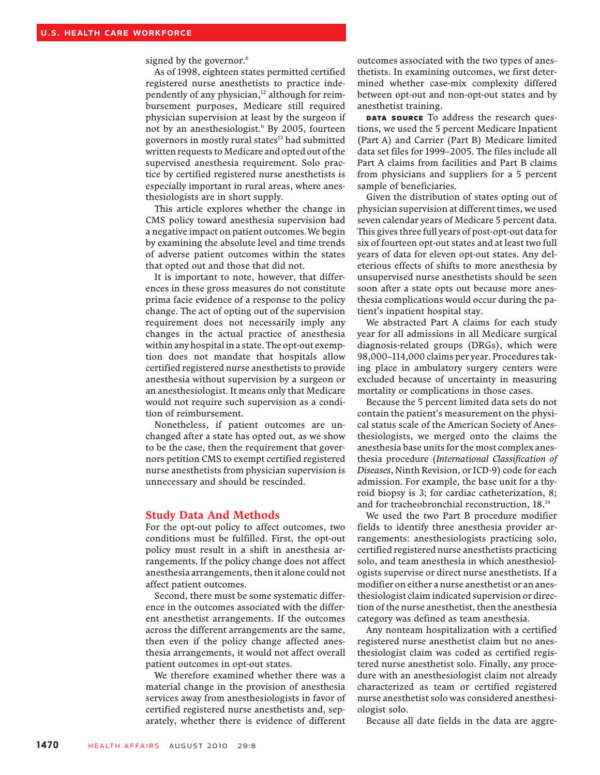signed by the governor. $6$ 

As of 1998, eighteen states permitted certified registered nurse anesthetists to practice independently of any physician, $12$  although for reimbursement purposes, Medicare still required physician supervision at least by the surgeon if not by an anesthesiologist.<sup>6</sup> By 2005, fourteen governors in mostly rural states<sup>13</sup> had submitted written requests to Medicare and opted out of the supervised anesthesia requirement. Solo practice by certified registered nurse anesthetists is especially important in rural areas, where anesthesiologists are in short supply.

This article explores whether the change in CMS policy toward anesthesia supervision had a negative impact on patient outcomes.We begin by examining the absolute level and time trends of adverse patient outcomes within the states that opted out and those that did not.

It is important to note, however, that differences in these gross measures do not constitute prima facie evidence of a response to the policy change. The act of opting out of the supervision requirement does not necessarily imply any changes in the actual practice of anesthesia within any hospital in a state. The opt-out exemption does not mandate that hospitals allow certified registered nurse anesthetists to provide anesthesia without supervision by a surgeon or an anesthesiologist. It means only that Medicare would not require such supervision as a condition of reimbursement.

Nonetheless, if patient outcomes are unchanged after a state has opted out, as we show to be the case, then the requirement that governors petition CMS to exempt certified registered nurse anesthetists from physician supervision is unnecessary and should be rescinded.

## Study Data And Methods

For the opt-out policy to affect outcomes, two conditions must be fulfilled. First, the opt-out policy must result in a shift in anesthesia arrangements. If the policy change does not affect anesthesia arrangements, then it alone could not affect patient outcomes.

Second, there must be some systematic difference in the outcomes associated with the different anesthetist arrangements. If the outcomes across the different arrangements are the same, then even if the policy change affected anesthesia arrangements, it would not affect overall patient outcomes in opt-out states.

We therefore examined whether there was a material change in the provision of anesthesia services away from anesthesiologists in favor of certified registered nurse anesthetists and, separately, whether there is evidence of different

outcomes associated with the two types of anesthetists. In examining outcomes, we first determined whether case-mix complexity differed between opt-out and non-opt-out states and by anesthetist training.

DATA SOURCE To address the research questions, we used the 5 percent Medicare Inpatient (Part A) and Carrier (Part B) Medicare limited data set files for 1999–2005. The files include all Part A claims from facilities and Part B claims from physicians and suppliers for a 5 percent sample of beneficiaries.

Given the distribution of states opting out of physician supervision at different times, we used seven calendar years of Medicare 5 percent data. This gives three full years of post-opt-out data for six of fourteen opt-out states and at least two full years of data for eleven opt-out states. Any deleterious effects of shifts to more anesthesia by unsupervised nurse anesthetists should be seen soon after a state opts out because more anesthesia complications would occur during the patient's inpatient hospital stay.

We abstracted Part A claims for each study year for all admissions in all Medicare surgical diagnosis-related groups (DRGs), which were 98,000–114,000 claims per year. Procedures taking place in ambulatory surgery centers were excluded because of uncertainty in measuring mortality or complications in those cases.

Because the 5 percent limited data sets do not contain the patient's measurement on the physical status scale of the American Society of Anesthesiologists, we merged onto the claims the anesthesia base units for the most complex anesthesia procedure (International Classification of Diseases, Ninth Revision, or ICD-9) code for each admission. For example, the base unit for a thyroid biopsy is 3; for cardiac catheterization, 8; and for tracheobronchial reconstruction, 18.14

We used the two Part B procedure modifier fields to identify three anesthesia provider arrangements: anesthesiologists practicing solo, certified registered nurse anesthetists practicing solo, and team anesthesia in which anesthesiologists supervise or direct nurse anesthetists. If a modifier on either a nurse anesthetist or an anesthesiologist claim indicated supervision or direction of the nurse anesthetist, then the anesthesia category was defined as team anesthesia.

Any nonteam hospitalization with a certified registered nurse anesthetist claim but no anesthesiologist claim was coded as certified registered nurse anesthetist solo. Finally, any procedure with an anesthesiologist claim not already characterized as team or certified registered nurse anesthetist solo was considered anesthesiologist solo.

Because all date fields in the data are aggre-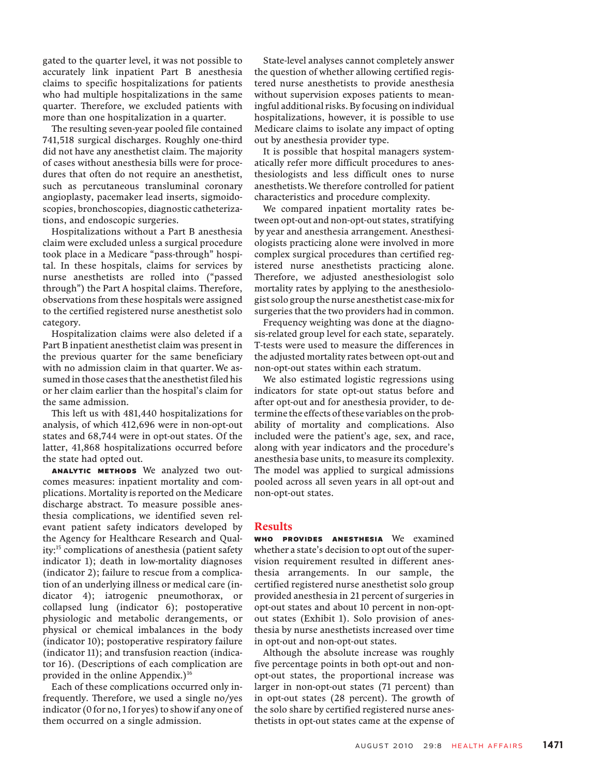gated to the quarter level, it was not possible to accurately link inpatient Part B anesthesia claims to specific hospitalizations for patients who had multiple hospitalizations in the same quarter. Therefore, we excluded patients with more than one hospitalization in a quarter.

The resulting seven-year pooled file contained 741,518 surgical discharges. Roughly one-third did not have any anesthetist claim. The majority of cases without anesthesia bills were for procedures that often do not require an anesthetist, such as percutaneous transluminal coronary angioplasty, pacemaker lead inserts, sigmoidoscopies, bronchoscopies, diagnostic catheterizations, and endoscopic surgeries.

Hospitalizations without a Part B anesthesia claim were excluded unless a surgical procedure took place in a Medicare "pass-through" hospital. In these hospitals, claims for services by nurse anesthetists are rolled into ("passed through") the Part A hospital claims. Therefore, observations from these hospitals were assigned to the certified registered nurse anesthetist solo category.

Hospitalization claims were also deleted if a Part B inpatient anesthetist claim was present in the previous quarter for the same beneficiary with no admission claim in that quarter. We assumed in those cases that the anesthetist filed his or her claim earlier than the hospital's claim for the same admission.

This left us with 481,440 hospitalizations for analysis, of which 412,696 were in non-opt-out states and 68,744 were in opt-out states. Of the latter, 41,868 hospitalizations occurred before the state had opted out.

Analytic Methods We analyzed two outcomes measures: inpatient mortality and complications. Mortality is reported on the Medicare discharge abstract. To measure possible anesthesia complications, we identified seven relevant patient safety indicators developed by the Agency for Healthcare Research and Quality:15 complications of anesthesia (patient safety indicator 1); death in low-mortality diagnoses (indicator 2); failure to rescue from a complication of an underlying illness or medical care (indicator 4); iatrogenic pneumothorax, or collapsed lung (indicator 6); postoperative physiologic and metabolic derangements, or physical or chemical imbalances in the body (indicator 10); postoperative respiratory failure (indicator 11); and transfusion reaction (indicator 16). (Descriptions of each complication are provided in the online Appendix.)<sup>16</sup>

Each of these complications occurred only infrequently. Therefore, we used a single no/yes indicator (0 for no, 1 for yes) to show if any one of them occurred on a single admission.

State-level analyses cannot completely answer the question of whether allowing certified registered nurse anesthetists to provide anesthesia without supervision exposes patients to meaningful additional risks. By focusing on individual hospitalizations, however, it is possible to use Medicare claims to isolate any impact of opting out by anesthesia provider type.

It is possible that hospital managers systematically refer more difficult procedures to anesthesiologists and less difficult ones to nurse anesthetists.We therefore controlled for patient characteristics and procedure complexity.

We compared inpatient mortality rates between opt-out and non-opt-out states, stratifying by year and anesthesia arrangement. Anesthesiologists practicing alone were involved in more complex surgical procedures than certified registered nurse anesthetists practicing alone. Therefore, we adjusted anesthesiologist solo mortality rates by applying to the anesthesiologist solo group the nurse anesthetist case-mix for surgeries that the two providers had in common.

Frequency weighting was done at the diagnosis-related group level for each state, separately. T-tests were used to measure the differences in the adjusted mortality rates between opt-out and non-opt-out states within each stratum.

We also estimated logistic regressions using indicators for state opt-out status before and after opt-out and for anesthesia provider, to determine the effects of these variables on the probability of mortality and complications. Also included were the patient's age, sex, and race, along with year indicators and the procedure's anesthesia base units, to measure its complexity. The model was applied to surgical admissions pooled across all seven years in all opt-out and non-opt-out states.

## **Results**

Who Provides Anesthesia We examined whether a state's decision to opt out of the supervision requirement resulted in different anesthesia arrangements. In our sample, the certified registered nurse anesthetist solo group provided anesthesia in 21 percent of surgeries in opt-out states and about 10 percent in non-optout states (Exhibit 1). Solo provision of anesthesia by nurse anesthetists increased over time in opt-out and non-opt-out states.

Although the absolute increase was roughly five percentage points in both opt-out and nonopt-out states, the proportional increase was larger in non-opt-out states (71 percent) than in opt-out states (28 percent). The growth of the solo share by certified registered nurse anesthetists in opt-out states came at the expense of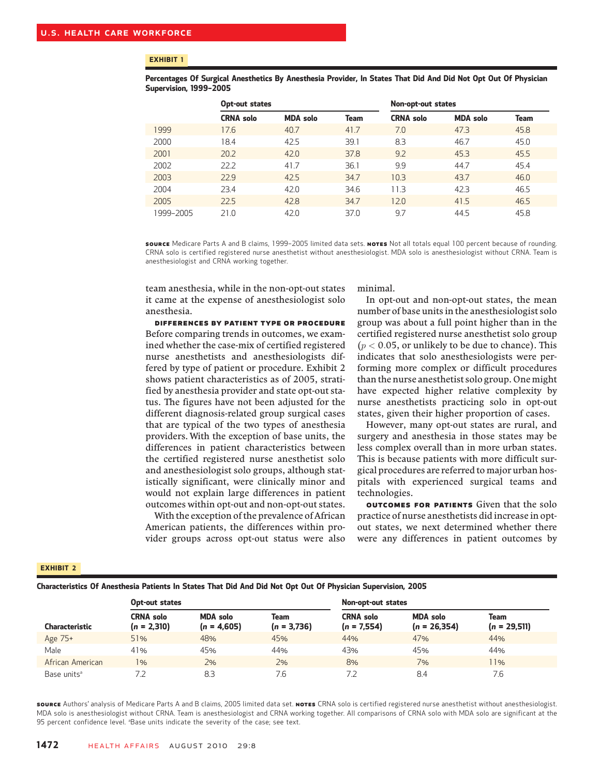## EXHIBIT 1

Percentages Of Surgical Anesthetics By Anesthesia Provider, In States That Did And Did Not Opt Out Of Physician Supervision, 1999–2005

|           | Opt-out states   |                 |      | Non-opt-out states |                 |             |
|-----------|------------------|-----------------|------|--------------------|-----------------|-------------|
|           | <b>CRNA</b> solo | <b>MDA</b> solo | Team | <b>CRNA</b> solo   | <b>MDA</b> solo | <b>Team</b> |
| 1999      | 17.6             | 40.7            | 41.7 | 7.0                | 47.3            | 45.8        |
| 2000      | 18.4             | 42.5            | 39.1 | 8.3                | 46.7            | 45.0        |
| 2001      | 20.2             | 42.0            | 37.8 | 9.2                | 45.3            | 45.5        |
| 2002      | 22.2             | 41.7            | 36.1 | 9.9                | 44.7            | 45.4        |
| 2003      | 22.9             | 42.5            | 34.7 | 10.3               | 43.7            | 46.0        |
| 2004      | 23.4             | 42.0            | 34.6 | 11.3               | 42.3            | 46.5        |
| 2005      | 22.5             | 42.8            | 34.7 | 12.0               | 41.5            | 46.5        |
| 1999-2005 | 21.0             | 42.0            | 37.0 | 9.7                | 44.5            | 45.8        |

SOURCE Medicare Parts A and B claims, 1999-2005 limited data sets. NOTES Not all totals equal 100 percent because of rounding. CRNA solo is certified registered nurse anesthetist without anesthesiologist. MDA solo is anesthesiologist without CRNA. Team is anesthesiologist and CRNA working together.

team anesthesia, while in the non-opt-out states it came at the expense of anesthesiologist solo anesthesia.

Differences By Patient Type Or Procedure Before comparing trends in outcomes, we examined whether the case-mix of certified registered nurse anesthetists and anesthesiologists differed by type of patient or procedure. Exhibit 2 shows patient characteristics as of 2005, stratified by anesthesia provider and state opt-out status. The figures have not been adjusted for the different diagnosis-related group surgical cases that are typical of the two types of anesthesia providers. With the exception of base units, the differences in patient characteristics between the certified registered nurse anesthetist solo and anesthesiologist solo groups, although statistically significant, were clinically minor and would not explain large differences in patient outcomes within opt-out and non-opt-out states.

With the exception of the prevalence of African American patients, the differences within provider groups across opt-out status were also minimal.

In opt-out and non-opt-out states, the mean number of base units in the anesthesiologist solo group was about a full point higher than in the certified registered nurse anesthetist solo group  $(p < 0.05$ , or unlikely to be due to chance). This indicates that solo anesthesiologists were performing more complex or difficult procedures than the nurse anesthetist solo group. Onemight have expected higher relative complexity by nurse anesthetists practicing solo in opt-out states, given their higher proportion of cases.

However, many opt-out states are rural, and surgery and anesthesia in those states may be less complex overall than in more urban states. This is because patients with more difficult surgical procedures are referred to major urban hospitals with experienced surgical teams and technologies.

**OUTCOMES FOR PATIENTS** Given that the solo practice of nurse anesthetists did increase in optout states, we next determined whether there were any differences in patient outcomes by

#### EXHIBIT 2

Characteristics Of Anesthesia Patients In States That Did And Did Not Opt Out Of Physician Supervision, 2005

|                         | Opt-out states                    |                                  |                              | Non-opt-out states                |                                   |                               |
|-------------------------|-----------------------------------|----------------------------------|------------------------------|-----------------------------------|-----------------------------------|-------------------------------|
| <b>Characteristic</b>   | <b>CRNA</b> solo<br>$(n = 2,310)$ | <b>MDA</b> solo<br>$(n = 4,605)$ | <b>Team</b><br>$(n = 3,736)$ | <b>CRNA</b> solo<br>$(n = 7,554)$ | <b>MDA</b> solo<br>$(n = 26,354)$ | <b>Team</b><br>$(n = 29,511)$ |
| Age 75+                 | 51%                               | 48%                              | 45%                          | 44%                               | 47%                               | 44%                           |
| Male                    | 41%                               | 45%                              | 44%                          | 43%                               | 45%                               | 44%                           |
| African American        | 1%                                | 2%                               | 2%                           | 8%                                | 7%                                | 11%                           |
| Base units <sup>a</sup> | 7.2                               | 8.3                              | 7.6                          |                                   | 8.4                               | 7.6                           |

source Authors' analysis of Medicare Parts A and B claims, 2005 limited data set. Notes CRNA solo is certified registered nurse anesthetist without anesthesiologist. MDA solo is anesthesiologist without CRNA. Team is anesthesiologist and CRNA working together. All comparisons of CRNA solo with MDA solo are significant at the 95 percent confidence level. <sup>a</sup>Base units indicate the severity of the case; see text.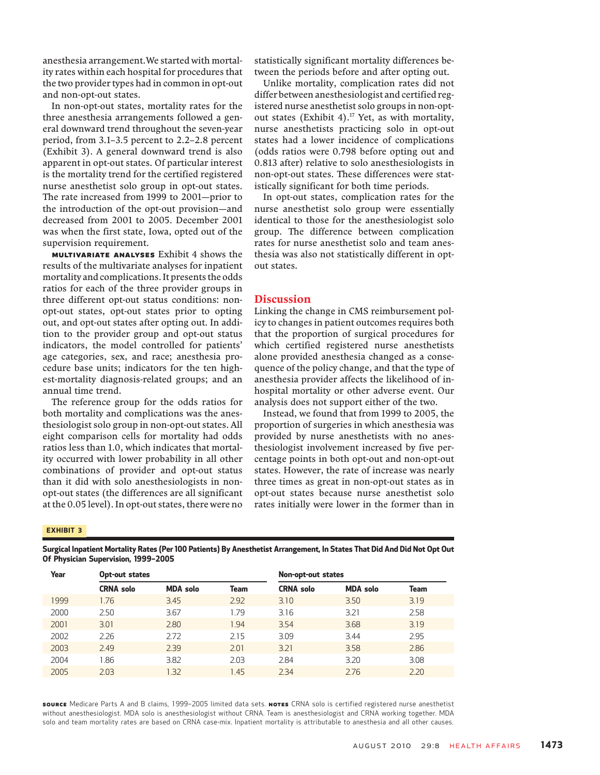anesthesia arrangement.We started with mortality rates within each hospital for procedures that the two provider types had in common in opt-out and non-opt-out states.

In non-opt-out states, mortality rates for the three anesthesia arrangements followed a general downward trend throughout the seven-year period, from 3.1–3.5 percent to 2.2–2.8 percent (Exhibit 3). A general downward trend is also apparent in opt-out states. Of particular interest is the mortality trend for the certified registered nurse anesthetist solo group in opt-out states. The rate increased from 1999 to 2001—prior to the introduction of the opt-out provision—and decreased from 2001 to 2005. December 2001 was when the first state, Iowa, opted out of the supervision requirement.

Multivariate Analyses Exhibit 4 shows the results of the multivariate analyses for inpatient mortality and complications. It presents the odds ratios for each of the three provider groups in three different opt-out status conditions: nonopt-out states, opt-out states prior to opting out, and opt-out states after opting out. In addition to the provider group and opt-out status indicators, the model controlled for patients' age categories, sex, and race; anesthesia procedure base units; indicators for the ten highest-mortality diagnosis-related groups; and an annual time trend.

The reference group for the odds ratios for both mortality and complications was the anesthesiologist solo group in non-opt-out states. All eight comparison cells for mortality had odds ratios less than 1.0, which indicates that mortality occurred with lower probability in all other combinations of provider and opt-out status than it did with solo anesthesiologists in nonopt-out states (the differences are all significant at the 0.05 level). In opt-out states, there were no

statistically significant mortality differences between the periods before and after opting out.

Unlike mortality, complication rates did not differ between anesthesiologist and certified registered nurse anesthetist solo groups in non-optout states (Exhibit 4).<sup>17</sup> Yet, as with mortality, nurse anesthetists practicing solo in opt-out states had a lower incidence of complications (odds ratios were 0.798 before opting out and 0.813 after) relative to solo anesthesiologists in non-opt-out states. These differences were statistically significant for both time periods.

In opt-out states, complication rates for the nurse anesthetist solo group were essentially identical to those for the anesthesiologist solo group. The difference between complication rates for nurse anesthetist solo and team anesthesia was also not statistically different in optout states.

## Discussion

Linking the change in CMS reimbursement policy to changes in patient outcomes requires both that the proportion of surgical procedures for which certified registered nurse anesthetists alone provided anesthesia changed as a consequence of the policy change, and that the type of anesthesia provider affects the likelihood of inhospital mortality or other adverse event. Our analysis does not support either of the two.

Instead, we found that from 1999 to 2005, the proportion of surgeries in which anesthesia was provided by nurse anesthetists with no anesthesiologist involvement increased by five percentage points in both opt-out and non-opt-out states. However, the rate of increase was nearly three times as great in non-opt-out states as in opt-out states because nurse anesthetist solo rates initially were lower in the former than in

EXHIBIT 3

Surgical Inpatient Mortality Rates (Per 100 Patients) By Anesthetist Arrangement, In States That Did And Did Not Opt Out Of Physician Supervision, 1999–2005

| Year | Opt-out states   |                 |             |                  | Non-opt-out states |      |  |
|------|------------------|-----------------|-------------|------------------|--------------------|------|--|
|      | <b>CRNA</b> solo | <b>MDA</b> solo | <b>Team</b> | <b>CRNA</b> solo | <b>MDA</b> solo    | Team |  |
| 1999 | 1.76             | 3.45            | 2.92        | 3.10             | 3.50               | 3.19 |  |
| 2000 | 2.50             | 3.67            | 1.79        | 3.16             | 3.21               | 2.58 |  |
| 2001 | 3.01             | 2.80            | 1.94        | 3.54             | 3.68               | 3.19 |  |
| 2002 | 2.26             | 2.72            | 2.15        | 3.09             | 3.44               | 2.95 |  |
| 2003 | 2.49             | 2.39            | 2.01        | 3.21             | 3.58               | 2.86 |  |
| 2004 | 1.86             | 3.82            | 2.03        | 2.84             | 3.20               | 3.08 |  |
| 2005 | 2.03             | 1.32            | 1.45        | 2.34             | 2.76               | 2.20 |  |

source Medicare Parts A and B claims, 1999-2005 limited data sets. NoTES CRNA solo is certified registered nurse anesthetist without anesthesiologist. MDA solo is anesthesiologist without CRNA. Team is anesthesiologist and CRNA working together. MDA solo and team mortality rates are based on CRNA case-mix. Inpatient mortality is attributable to anesthesia and all other causes.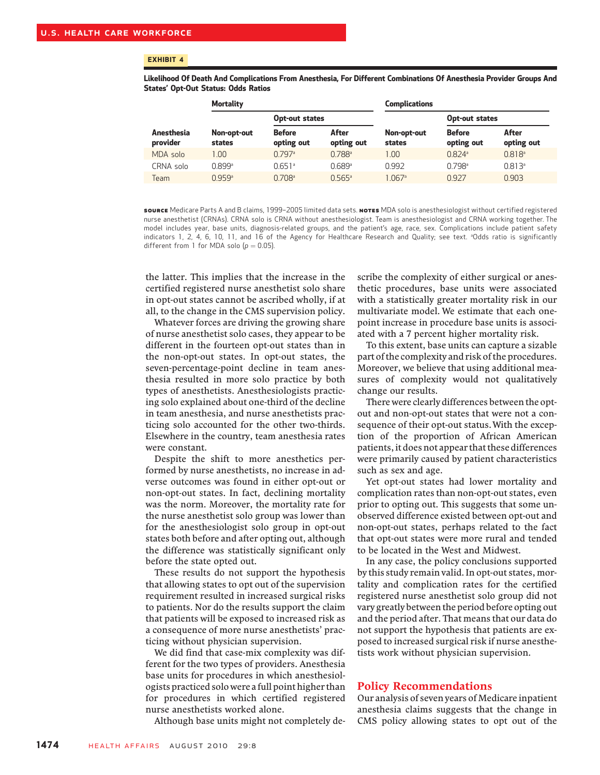#### EXHIBIT 4

Likelihood Of Death And Complications From Anesthesia, For Different Combinations Of Anesthesia Provider Groups And States' Opt-Out Status: Odds Ratios

|                        | <b>Mortality</b>      |                             |                      | <b>Complications</b>  |                             |                            |  |
|------------------------|-----------------------|-----------------------------|----------------------|-----------------------|-----------------------------|----------------------------|--|
|                        |                       | Opt-out states              |                      |                       | Opt-out states              |                            |  |
| Anesthesia<br>provider | Non-opt-out<br>states | <b>Before</b><br>opting out | After<br>opting out  | Non-opt-out<br>states | <b>Before</b><br>opting out | <b>After</b><br>opting out |  |
| MDA solo               | 1.00                  | 0.797a                      | $0.788$ <sup>a</sup> | 1.00                  | $0.824$ <sup>a</sup>        | $0.818$ <sup>a</sup>       |  |
| CRNA solo              | n 899 <sup>a</sup>    | $0.651$ <sup>a</sup>        | $0.689$ <sup>a</sup> | 0.992                 | 0.798 <sup>a</sup>          | $0.813^{\circ}$            |  |
| Team                   | $0.959$ <sup>a</sup>  | $0.708$ <sup>a</sup>        | $0.565^{\circ}$      | $1.067$ <sup>a</sup>  | 0927                        | 0.903                      |  |

source Medicare Parts A and B claims, 1999-2005 limited data sets. Nores MDA solo is anesthesiologist without certified registered nurse anesthetist (CRNAs). CRNA solo is CRNA without anesthesiologist. Team is anesthesiologist and CRNA working together. The model includes year, base units, diagnosis-related groups, and the patient's age, race, sex. Complications include patient safety indicators 1, 2, 4, 6, 10, 11, and 16 of the Agency for Healthcare Research and Quality; see text. <sup>a</sup>Odds ratio is significantly different from 1 for MDA solo ( $p = 0.05$ ).

the latter. This implies that the increase in the certified registered nurse anesthetist solo share in opt-out states cannot be ascribed wholly, if at all, to the change in the CMS supervision policy.

Whatever forces are driving the growing share of nurse anesthetist solo cases, they appear to be different in the fourteen opt-out states than in the non-opt-out states. In opt-out states, the seven-percentage-point decline in team anesthesia resulted in more solo practice by both types of anesthetists. Anesthesiologists practicing solo explained about one-third of the decline in team anesthesia, and nurse anesthetists practicing solo accounted for the other two-thirds. Elsewhere in the country, team anesthesia rates were constant.

Despite the shift to more anesthetics performed by nurse anesthetists, no increase in adverse outcomes was found in either opt-out or non-opt-out states. In fact, declining mortality was the norm. Moreover, the mortality rate for the nurse anesthetist solo group was lower than for the anesthesiologist solo group in opt-out states both before and after opting out, although the difference was statistically significant only before the state opted out.

These results do not support the hypothesis that allowing states to opt out of the supervision requirement resulted in increased surgical risks to patients. Nor do the results support the claim that patients will be exposed to increased risk as a consequence of more nurse anesthetists' practicing without physician supervision.

We did find that case-mix complexity was different for the two types of providers. Anesthesia base units for procedures in which anesthesiologists practiced solo were a full point higher than for procedures in which certified registered nurse anesthetists worked alone.

Although base units might not completely de-

scribe the complexity of either surgical or anesthetic procedures, base units were associated with a statistically greater mortality risk in our multivariate model. We estimate that each onepoint increase in procedure base units is associated with a 7 percent higher mortality risk.

To this extent, base units can capture a sizable part of the complexity and risk of the procedures. Moreover, we believe that using additional measures of complexity would not qualitatively change our results.

There were clearly differences between the optout and non-opt-out states that were not a consequence of their opt-out status.With the exception of the proportion of African American patients, it does not appear that these differences were primarily caused by patient characteristics such as sex and age.

Yet opt-out states had lower mortality and complication rates than non-opt-out states, even prior to opting out. This suggests that some unobserved difference existed between opt-out and non-opt-out states, perhaps related to the fact that opt-out states were more rural and tended to be located in the West and Midwest.

In any case, the policy conclusions supported by this study remain valid. In opt-out states, mortality and complication rates for the certified registered nurse anesthetist solo group did not vary greatly between the period before opting out and the period after. That means that our data do not support the hypothesis that patients are exposed to increased surgical risk if nurse anesthetists work without physician supervision.

## Policy Recommendations

Our analysis of seven years of Medicare inpatient anesthesia claims suggests that the change in CMS policy allowing states to opt out of the